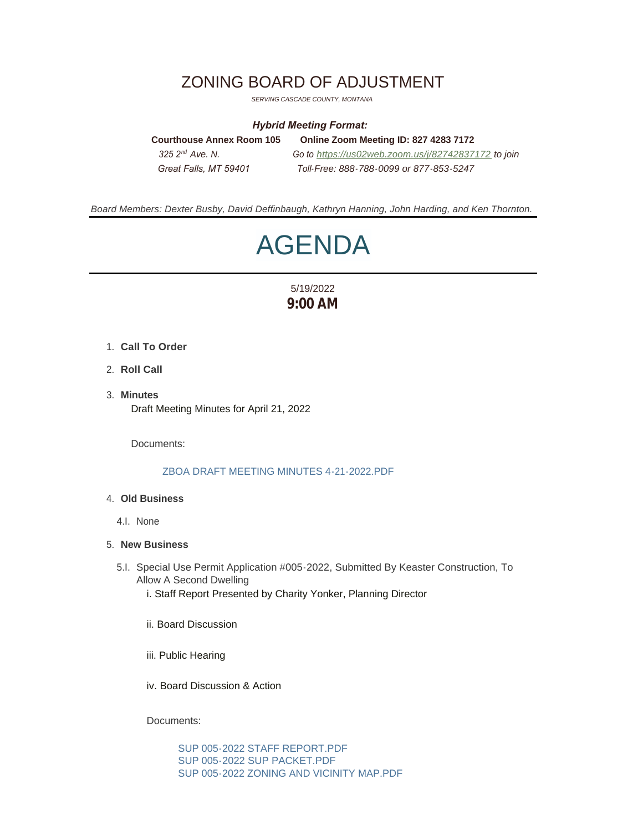## ZONING BOARD OF ADJUSTMENT

*SERVING CASCADE COUNTY, MONTANA*

#### *Hybrid Meeting Format:*

**Courthouse Annex Room 105 Online Zoom Meeting ID: 827 4283 7172**  *325 2 Ave. N. Go to <https://us02web.zoom.us/j/82742837172> to join Great Falls, MT 59401 Toll-Free: 888-788-0099 or 877-853-5247* 325 2<sup>nd</sup> Ave. N.

*Board Members: Dexter Busby, David Deffinbaugh, Kathryn Hanning, John Harding, and Ken Thornton.*

# AGENDA

### 5/19/2022 **9:00 AM**

- **Call To Order** 1.
- 2. **Roll Call**
- **Minutes** 3. Draft Meeting Minutes for April 21, 2022

Documents:

#### [ZBOA DRAFT MEETING MINUTES 4-21-2022.PDF](https://www.cascadecountymt.gov/AgendaCenter/ViewFile/Item/811?fileID=17136)

#### **Old Business** 4.

4.I. None

#### **New Business** 5.

- 5.I. Special Use Permit Application #005-2022, Submitted By Keaster Construction, To Allow A Second Dwelling
	- i. Staff Report Presented by Charity Yonker, Planning Director
	- ii. Board Discussion
	- iii. Public Hearing
	- iv. Board Discussion & Action

Documents:

[SUP 005-2022 STAFF REPORT.PDF](https://www.cascadecountymt.gov/AgendaCenter/ViewFile/Item/652?fileID=17137) [SUP 005-2022 SUP PACKET.PDF](https://www.cascadecountymt.gov/AgendaCenter/ViewFile/Item/652?fileID=17138) [SUP 005-2022 ZONING AND VICINITY MAP.PDF](https://www.cascadecountymt.gov/AgendaCenter/ViewFile/Item/652?fileID=17139)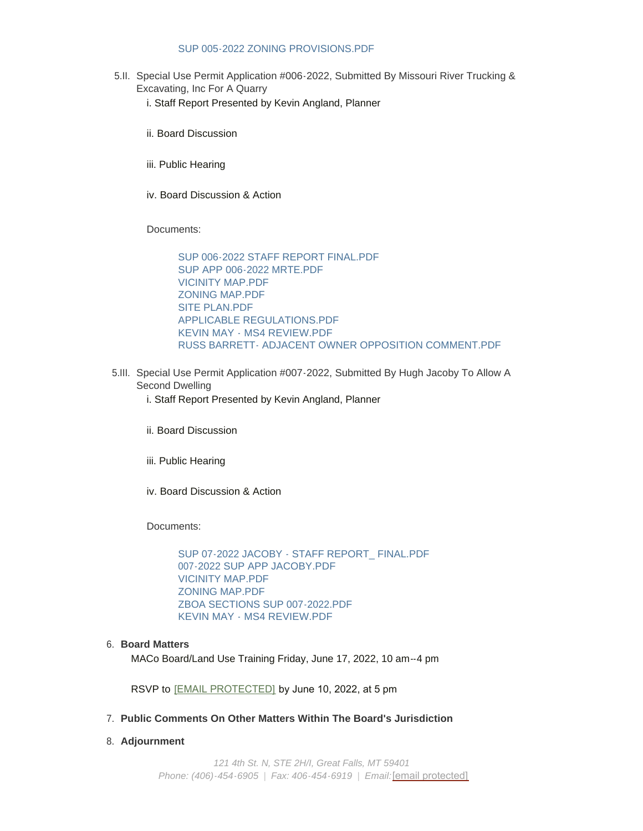#### [SUP 005-2022 ZONING PROVISIONS.PDF](https://www.cascadecountymt.gov/AgendaCenter/ViewFile/Item/652?fileID=17140)

- 5.II. Special Use Permit Application #006-2022, Submitted By Missouri River Trucking & Excavating, Inc For A Quarry
	- i. Staff Report Presented by Kevin Angland, Planner
	- ii. Board Discussion
	- iii. Public Hearing
	- iv. Board Discussion & Action

Documents:

[SUP 006-2022 STAFF REPORT FINAL.PDF](https://www.cascadecountymt.gov/AgendaCenter/ViewFile/Item/812?fileID=17141) [SUP APP 006-2022 MRTE.PDF](https://www.cascadecountymt.gov/AgendaCenter/ViewFile/Item/812?fileID=17142) [VICINITY MAP.PDF](https://www.cascadecountymt.gov/AgendaCenter/ViewFile/Item/812?fileID=17143) [ZONING MAP.PDF](https://www.cascadecountymt.gov/AgendaCenter/ViewFile/Item/812?fileID=17144) [SITE PLAN.PDF](https://www.cascadecountymt.gov/AgendaCenter/ViewFile/Item/812?fileID=17145) [APPLICABLE REGULATIONS.PDF](https://www.cascadecountymt.gov/AgendaCenter/ViewFile/Item/812?fileID=17146) [KEVIN MAY - MS4 REVIEW.PDF](https://www.cascadecountymt.gov/AgendaCenter/ViewFile/Item/812?fileID=17147) [RUSS BARRETT- ADJACENT OWNER OPPOSITION COMMENT.PDF](https://www.cascadecountymt.gov/AgendaCenter/ViewFile/Item/812?fileID=17148)

- 5.III. Special Use Permit Application #007-2022, Submitted By Hugh Jacoby To Allow A Second Dwelling
	- i. Staff Report Presented by Kevin Angland, Planner
	- ii. Board Discussion
	- iii. Public Hearing
	- iv. Board Discussion & Action

Documents:

[SUP 07-2022 JACOBY - STAFF REPORT\\_ FINAL.PDF](https://www.cascadecountymt.gov/AgendaCenter/ViewFile/Item/813?fileID=17149) [007-2022 SUP APP JACOBY.PDF](https://www.cascadecountymt.gov/AgendaCenter/ViewFile/Item/813?fileID=17150) [VICINITY MAP.PDF](https://www.cascadecountymt.gov/AgendaCenter/ViewFile/Item/813?fileID=17151) [ZONING MAP.PDF](https://www.cascadecountymt.gov/AgendaCenter/ViewFile/Item/813?fileID=17152) [ZBOA SECTIONS SUP 007-2022.PDF](https://www.cascadecountymt.gov/AgendaCenter/ViewFile/Item/813?fileID=17153) [KEVIN MAY - MS4 REVIEW.PDF](https://www.cascadecountymt.gov/AgendaCenter/ViewFile/Item/813?fileID=17154)

#### **Board Matters** 6.

MACo Board/Land Use Training Friday, June 17, 2022, 10 am--4 pm

RSVP to [\[EMAIL PROTECTED\]](https://www.cascadecountymt.gov/cdn-cgi/l/email-protection#3d5e5344525356584f7d5e5c4e5e5c59585e52485349445049135a524b) by June 10, 2022, at 5 pm

- **Public Comments On Other Matters Within The Board's Jurisdiction** 7.
- **Adjournment** 8.